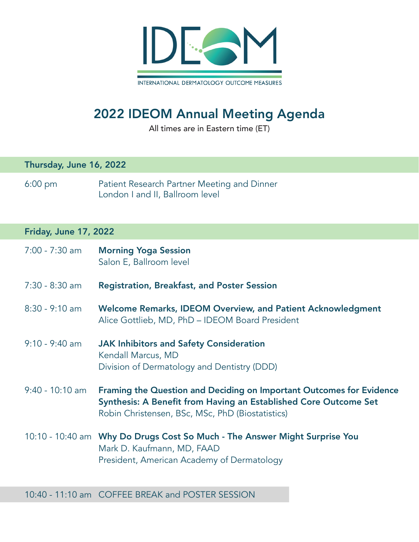

# 2022 IDEOM Annual Meeting Agenda

All times are in Eastern time (ET)

#### Thursday, June 16, 2022

6:00 pm Patient Research Partner Meeting and Dinner London I and II, Ballroom level

### Friday, June 17, 2022

| 7:00 - 7:30 am    | <b>Morning Yoga Session</b><br>Salon E, Ballroom level                                                                                                                                              |
|-------------------|-----------------------------------------------------------------------------------------------------------------------------------------------------------------------------------------------------|
| $7:30 - 8:30$ am  | <b>Registration, Breakfast, and Poster Session</b>                                                                                                                                                  |
| $8:30 - 9:10$ am  | Welcome Remarks, IDEOM Overview, and Patient Acknowledgment<br>Alice Gottlieb, MD, PhD - IDEOM Board President                                                                                      |
| $9:10 - 9:40$ am  | <b>JAK Inhibitors and Safety Consideration</b><br>Kendall Marcus, MD<br>Division of Dermatology and Dentistry (DDD)                                                                                 |
| $9:40 - 10:10$ am | <b>Framing the Question and Deciding on Important Outcomes for Evidence</b><br>Synthesis: A Benefit from Having an Established Core Outcome Set<br>Robin Christensen, BSc, MSc, PhD (Biostatistics) |
|                   | 10:10 - 10:40 am Why Do Drugs Cost So Much - The Answer Might Surprise You<br>Mark D. Kaufmann, MD, FAAD<br>President, American Academy of Dermatology                                              |

10:40 - 11:10 am COFFEE BREAK and POSTER SESSION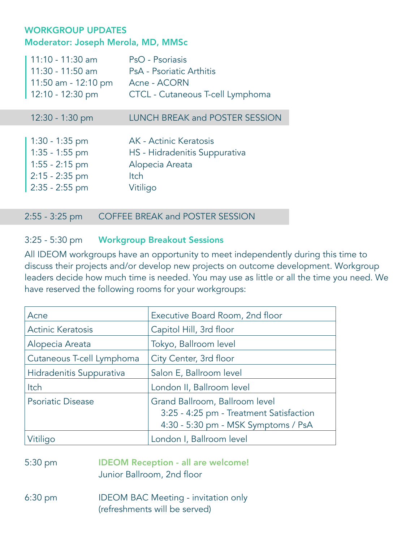### WORKGROUP UPDATES Moderator: Joseph Merola, MD, MMSc

| 11:10 - 11:30 am<br>11:30 - 11:50 am<br>11:50 am - 12:10 pm<br>$12:10 - 12:30$ pm                | PsO - Psoriasis<br>PsA - Psoriatic Arthitis<br>Acne - ACORN<br>CTCL - Cutaneous T-cell Lymphoma       |
|--------------------------------------------------------------------------------------------------|-------------------------------------------------------------------------------------------------------|
| 12:30 - 1:30 pm                                                                                  | <b>LUNCH BREAK and POSTER SESSION</b>                                                                 |
| $1:30 - 1:35$ pm<br>$1:35 - 1:55$ pm<br>$1:55 - 2:15$ pm<br>$2:15 - 2:35$ pm<br>$2:35 - 2:55$ pm | AK - Actinic Keratosis<br>HS - Hidradenitis Suppurativa<br>Alopecia Areata<br><b>Itch</b><br>Vitiligo |

2:55 - 3:25 pm COFFEE BREAK and POSTER SESSION

### 3:25 - 5:30 pm Workgroup Breakout Sessions

All IDEOM workgroups have an opportunity to meet independently during this time to discuss their projects and/or develop new projects on outcome development. Workgroup leaders decide how much time is needed. You may use as little or all the time you need. We have reserved the following rooms for your workgroups:

| Acne                      | Executive Board Room, 2nd floor                                                                                  |
|---------------------------|------------------------------------------------------------------------------------------------------------------|
| <b>Actinic Keratosis</b>  | Capitol Hill, 3rd floor                                                                                          |
| Alopecia Areata           | Tokyo, Ballroom level                                                                                            |
| Cutaneous T-cell Lymphoma | City Center, 3rd floor                                                                                           |
| Hidradenitis Suppurativa  | Salon E, Ballroom level                                                                                          |
| Itch                      | London II, Ballroom level                                                                                        |
| <b>Psoriatic Disease</b>  | Grand Ballroom, Ballroom level<br>3:25 - 4:25 pm - Treatment Satisfaction<br>4:30 - 5:30 pm - MSK Symptoms / PsA |
| Vitiligo                  | London I, Ballroom level                                                                                         |

- 5:30 pm IDEOM Reception all are welcome! Junior Ballroom, 2nd floor
- 6:30 pm IDEOM BAC Meeting invitation only (refreshments will be served)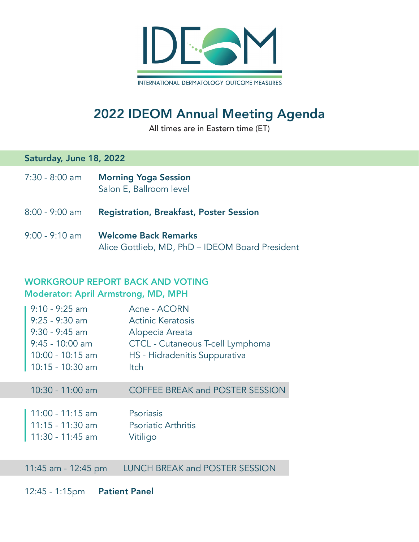

# 2022 IDEOM Annual Meeting Agenda

All times are in Eastern time (ET)

### Saturday, June 18, 2022

- 7:30 8:00 am Morning Yoga Session Salon E, Ballroom level
- 8:00 9:00 am Registration, Breakfast, Poster Session
- 9:00 9:10 am Welcome Back Remarks Alice Gottlieb, MD, PhD – IDEOM Board President

## WORKGROUP REPORT BACK AND VOTING

#### Moderator: April Armstrong, MD, MPH

| $9:10 - 9:25$ am    | Acne - ACORN                           |
|---------------------|----------------------------------------|
| $9:25 - 9:30$ am    | Actinic Keratosis                      |
| $9:30 - 9:45$ am    | Alopecia Areata                        |
| $9:45 - 10:00$ am   | CTCL - Cutaneous T-cell Lymphoma       |
| $10:00 - 10:15$ am  | HS - Hidradenitis Suppurativa          |
| $10:15 - 10:30$ am  | <b>Itch</b>                            |
|                     |                                        |
| $10:30 - 11:00$ am  | <b>COFFEE BREAK and POSTER SESSION</b> |
|                     |                                        |
| $11:00 - 11:15$ am  | Psoriasis                              |
| $11:15 - 11:30$ am  | <b>Psoriatic Arthritis</b>             |
| $11:30 - 11:45$ am  | Vitiligo                               |
|                     |                                        |
| 11:45 am - 12:45 pm | <b>LUNCH BREAK and POSTER SESSION</b>  |
|                     |                                        |